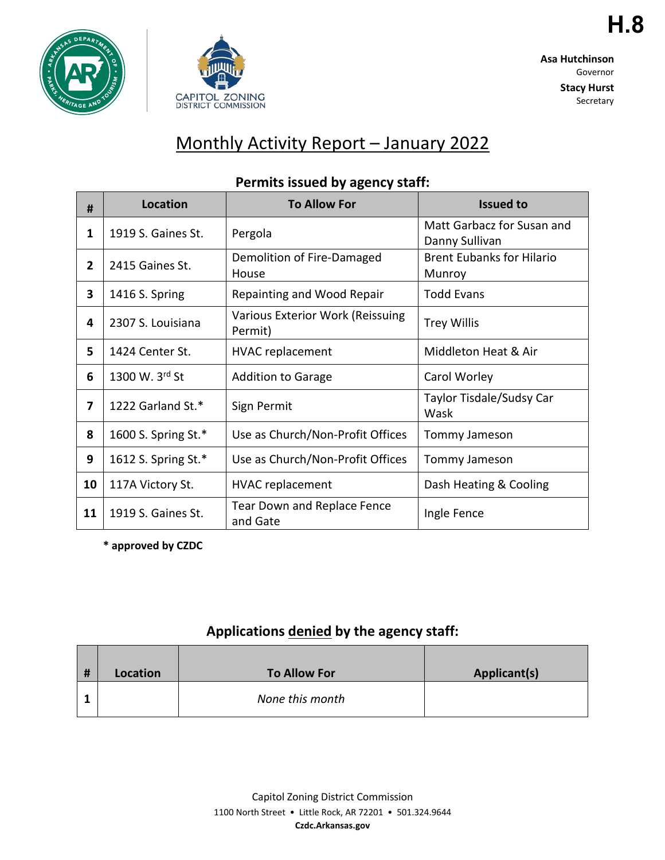



**H.8**

**Stacy Hurst** Secretary

# Monthly Activity Report – January 2022

| #              | <b>Location</b>     | <b>To Allow For</b>                         | <b>Issued to</b>                             |
|----------------|---------------------|---------------------------------------------|----------------------------------------------|
| 1              | 1919 S. Gaines St.  | Pergola                                     | Matt Garbacz for Susan and<br>Danny Sullivan |
| $\overline{2}$ | 2415 Gaines St.     | Demolition of Fire-Damaged<br>House         | <b>Brent Eubanks for Hilario</b><br>Munroy   |
| 3              | 1416 S. Spring      | Repainting and Wood Repair                  | <b>Todd Evans</b>                            |
| 4              | 2307 S. Louisiana   | Various Exterior Work (Reissuing<br>Permit) | <b>Trey Willis</b>                           |
| 5              | 1424 Center St.     | <b>HVAC</b> replacement                     | Middleton Heat & Air                         |
| 6              | 1300 W. 3rd St      | <b>Addition to Garage</b>                   | Carol Worley                                 |
| 7              | 1222 Garland St.*   | Sign Permit                                 | Taylor Tisdale/Sudsy Car<br>Wask             |
| 8              | 1600 S. Spring St.* | Use as Church/Non-Profit Offices            | Tommy Jameson                                |
| 9              | 1612 S. Spring St.* | Use as Church/Non-Profit Offices            | Tommy Jameson                                |
| 10             | 117A Victory St.    | <b>HVAC</b> replacement                     | Dash Heating & Cooling                       |
| 11             | 1919 S. Gaines St.  | Tear Down and Replace Fence<br>and Gate     | Ingle Fence                                  |

#### **Permits issued by agency staff:**

**\* approved by CZDC**

#### **Applications denied by the agency staff:**

| # | Location | <b>To Allow For</b> | Applicant(s) |
|---|----------|---------------------|--------------|
|   |          | None this month     |              |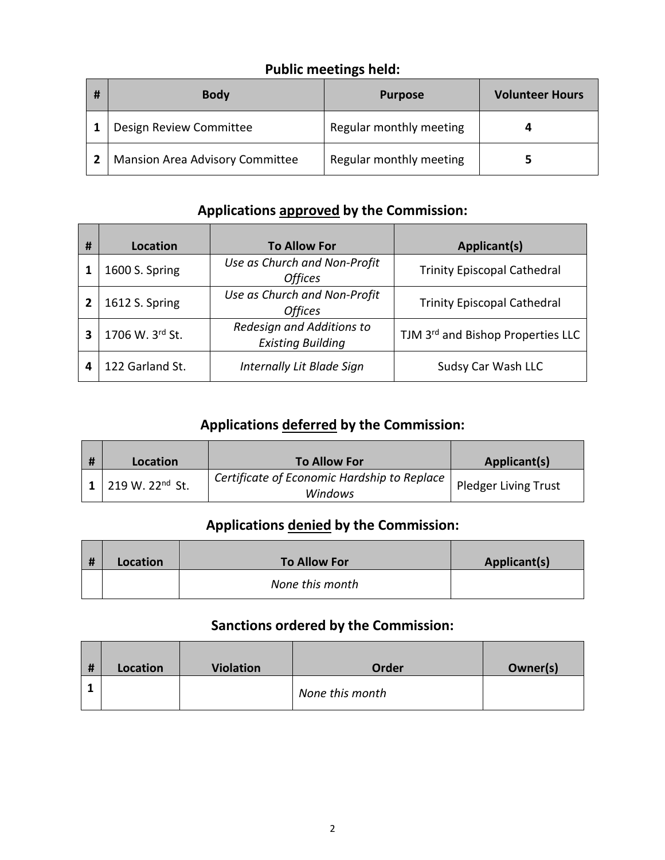# **Public meetings held:**

| # | <b>Body</b>                            | <b>Purpose</b>          | <b>Volunteer Hours</b> |
|---|----------------------------------------|-------------------------|------------------------|
|   | Design Review Committee                | Regular monthly meeting |                        |
|   | <b>Mansion Area Advisory Committee</b> | Regular monthly meeting |                        |

### **Applications approved by the Commission:**

| # | Location        | <b>To Allow For</b>                                   | Applicant(s)                       |
|---|-----------------|-------------------------------------------------------|------------------------------------|
|   | 1600 S. Spring  | Use as Church and Non-Profit<br><b>Offices</b>        | <b>Trinity Episcopal Cathedral</b> |
| 2 | 1612 S. Spring  | Use as Church and Non-Profit<br><b>Offices</b>        | <b>Trinity Episcopal Cathedral</b> |
| 3 | 1706 W. 3rd St. | Redesign and Additions to<br><b>Existing Building</b> | TJM 3rd and Bishop Properties LLC  |
| 4 | 122 Garland St. | Internally Lit Blade Sign                             | Sudsy Car Wash LLC                 |

## **Applications deferred by the Commission:**

| Location                                      | <b>To Allow For</b>                                    | Applicant(s)         |
|-----------------------------------------------|--------------------------------------------------------|----------------------|
| $1 \mid 219 \text{ W}$ . 22 <sup>nd</sup> St. | Certificate of Economic Hardship to Replace<br>Windows | Pledger Living Trust |

### **Applications denied by the Commission:**

| # | Location | <b>To Allow For</b> | Applicant(s) |
|---|----------|---------------------|--------------|
|   |          | None this month     |              |

## **Sanctions ordered by the Commission:**

| # | Location | <b>Violation</b> | Order           | Owner(s) |
|---|----------|------------------|-----------------|----------|
|   |          |                  | None this month |          |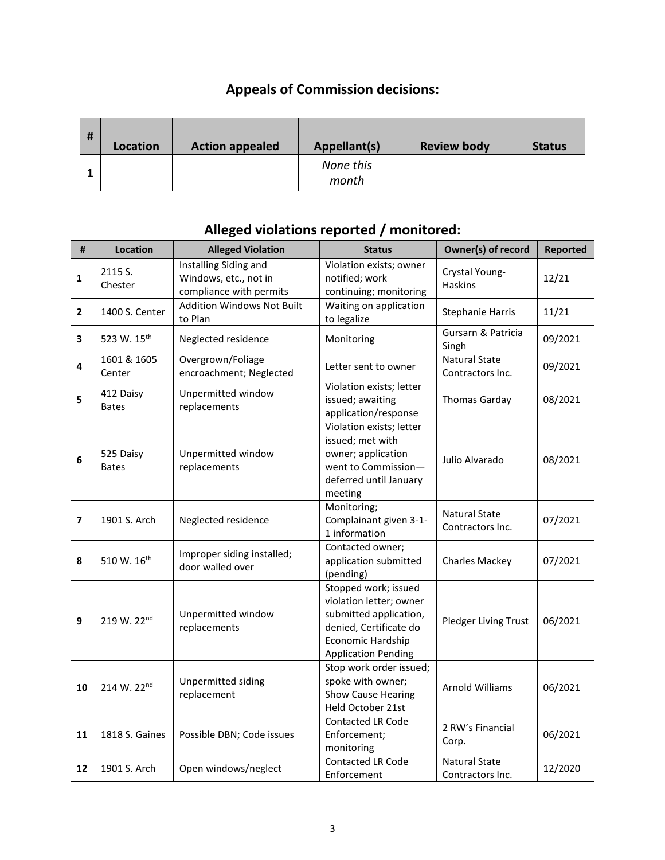# **Appeals of Commission decisions:**

| # | Location | <b>Action appealed</b> | Appellant(s)       | <b>Review body</b> | <b>Status</b> |
|---|----------|------------------------|--------------------|--------------------|---------------|
|   |          |                        | None this<br>month |                    |               |

| #                        | <b>Location</b>           | <b>Alleged Violation</b>                                                  | <b>Status</b>                                                                                                                                          | Owner(s) of record                       | <b>Reported</b> |
|--------------------------|---------------------------|---------------------------------------------------------------------------|--------------------------------------------------------------------------------------------------------------------------------------------------------|------------------------------------------|-----------------|
| 1                        | 2115 S.<br>Chester        | Installing Siding and<br>Windows, etc., not in<br>compliance with permits | Violation exists; owner<br>notified; work<br>continuing; monitoring                                                                                    | Crystal Young-<br><b>Haskins</b>         | 12/21           |
| $\overline{2}$           | 1400 S. Center            | <b>Addition Windows Not Built</b><br>to Plan                              | Waiting on application<br>to legalize                                                                                                                  | <b>Stephanie Harris</b>                  | 11/21           |
| 3                        | 523 W. 15 <sup>th</sup>   | Neglected residence                                                       | Monitoring                                                                                                                                             | Gursarn & Patricia<br>Singh              | 09/2021         |
| 4                        | 1601 & 1605<br>Center     | Overgrown/Foliage<br>encroachment; Neglected                              | Letter sent to owner                                                                                                                                   | <b>Natural State</b><br>Contractors Inc. | 09/2021         |
| 5                        | 412 Daisy<br><b>Bates</b> | Unpermitted window<br>replacements                                        | Violation exists; letter<br>issued; awaiting<br>application/response                                                                                   | <b>Thomas Garday</b>                     | 08/2021         |
| 6                        | 525 Daisy<br><b>Bates</b> | Unpermitted window<br>replacements                                        | Violation exists; letter<br>issued; met with<br>owner; application<br>went to Commission-<br>deferred until January<br>meeting                         | Julio Alvarado                           | 08/2021         |
| $\overline{\phantom{a}}$ | 1901 S. Arch              | Neglected residence                                                       | Monitoring;<br>Complainant given 3-1-<br>1 information                                                                                                 | <b>Natural State</b><br>Contractors Inc. | 07/2021         |
| 8                        | 510 W. 16 <sup>th</sup>   | Improper siding installed;<br>door walled over                            | Contacted owner;<br>application submitted<br>(pending)                                                                                                 | <b>Charles Mackey</b>                    | 07/2021         |
| 9                        | 219 W. 22nd               | Unpermitted window<br>replacements                                        | Stopped work; issued<br>violation letter; owner<br>submitted application,<br>denied, Certificate do<br>Economic Hardship<br><b>Application Pending</b> | Pledger Living Trust                     | 06/2021         |
| 10                       | 214 W. 22nd               | Unpermitted siding<br>replacement                                         | Stop work order issued;<br>spoke with owner;<br><b>Show Cause Hearing</b><br>Held October 21st                                                         | Arnold Williams                          | 06/2021         |
| 11                       | 1818 S. Gaines            | Possible DBN; Code issues                                                 | <b>Contacted LR Code</b><br>Enforcement;<br>monitoring                                                                                                 | 2 RW's Financial<br>Corp.                | 06/2021         |
| 12                       | 1901 S. Arch              | Open windows/neglect                                                      | Contacted LR Code<br>Enforcement                                                                                                                       | <b>Natural State</b><br>Contractors Inc. | 12/2020         |

#### **Alleged violations reported / monitored:**